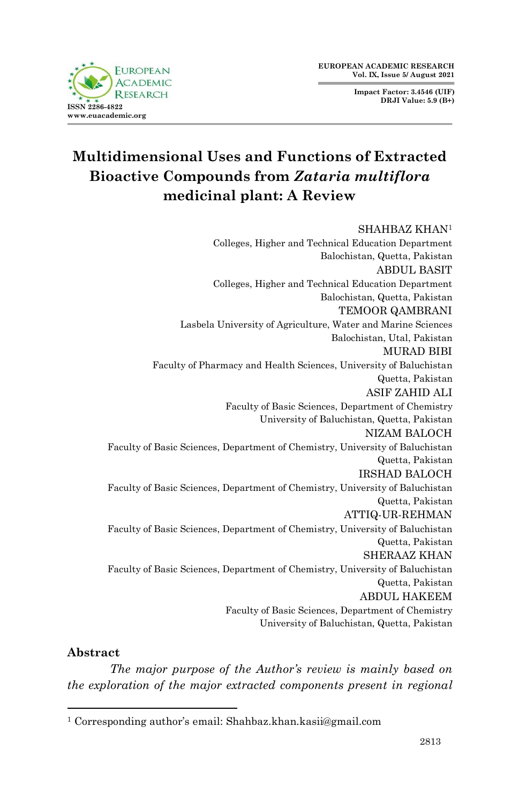**Impact Factor: 3.4546 (UIF) DRJI Value: 5.9 (B+)**



# **Multidimensional Uses and Functions of Extracted Bioactive Compounds from** *Zataria multiflora* **medicinal plant: A Review**

#### SHAHBAZ KHAN<sup>1</sup>

Colleges, Higher and Technical Education Department Balochistan, Quetta, Pakistan ABDUL BASIT Colleges, Higher and Technical Education Department Balochistan, Quetta, Pakistan TEMOOR QAMBRANI Lasbela University of Agriculture, Water and Marine Sciences Balochistan, Utal, Pakistan MURAD BIBI Faculty of Pharmacy and Health Sciences, University of Baluchistan Quetta, Pakistan ASIF ZAHID ALI Faculty of Basic Sciences, Department of Chemistry University of Baluchistan, Quetta, Pakistan NIZAM BALOCH Faculty of Basic Sciences, Department of Chemistry, University of Baluchistan Quetta, Pakistan IRSHAD BALOCH Faculty of Basic Sciences, Department of Chemistry, University of Baluchistan Quetta, Pakistan ATTIQ-UR-REHMAN Faculty of Basic Sciences, Department of Chemistry, University of Baluchistan Quetta, Pakistan SHERAAZ KHAN Faculty of Basic Sciences, Department of Chemistry, University of Baluchistan Quetta, Pakistan ABDUL HAKEEM Faculty of Basic Sciences, Department of Chemistry University of Baluchistan, Quetta, Pakistan

#### **Abstract**

1

*The major purpose of the Author's review is mainly based on the exploration of the major extracted components present in regional* 

<sup>1</sup> Corresponding author's email: Shahbaz.khan.kasii@gmail.com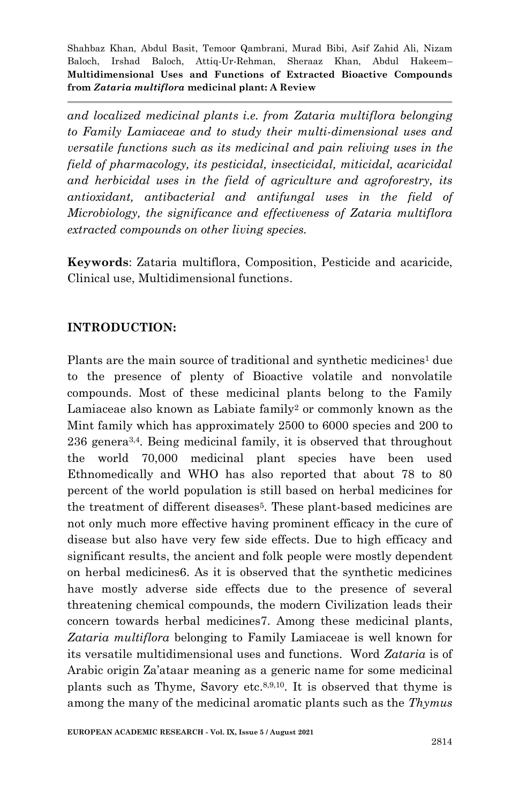*and localized medicinal plants i.e. from Zataria multiflora belonging to Family Lamiaceae and to study their multi-dimensional uses and versatile functions such as its medicinal and pain reliving uses in the field of pharmacology, its pesticidal, insecticidal, miticidal, acaricidal and herbicidal uses in the field of agriculture and agroforestry, its antioxidant, antibacterial and antifungal uses in the field of Microbiology, the significance and effectiveness of Zataria multiflora extracted compounds on other living species.*

**Keywords**: Zataria multiflora, Composition, Pesticide and acaricide, Clinical use, Multidimensional functions.

## **INTRODUCTION:**

Plants are the main source of traditional and synthetic medicines<sup>1</sup> due to the presence of plenty of Bioactive volatile and nonvolatile compounds. Most of these medicinal plants belong to the Family Lamiaceae also known as Labiate family<sup>2</sup> or commonly known as the Mint family which has approximately 2500 to 6000 species and 200 to 236 genera3,4. Being medicinal family, it is observed that throughout the world 70,000 medicinal plant species have been used Ethnomedically and WHO has also reported that about 78 to 80 percent of the world population is still based on herbal medicines for the treatment of different diseases5. These plant-based medicines are not only much more effective having prominent efficacy in the cure of disease but also have very few side effects. Due to high efficacy and significant results, the ancient and folk people were mostly dependent on herbal medicines6. As it is observed that the synthetic medicines have mostly adverse side effects due to the presence of several threatening chemical compounds, the modern Civilization leads their concern towards herbal medicines7. Among these medicinal plants, *Zataria multiflora* belonging to Family Lamiaceae is well known for its versatile multidimensional uses and functions. Word *Zataria* is of Arabic origin Za'ataar meaning as a generic name for some medicinal plants such as Thyme, Savory etc.<sup>8,9,10</sup>. It is observed that thyme is among the many of the medicinal aromatic plants such as the *Thymus*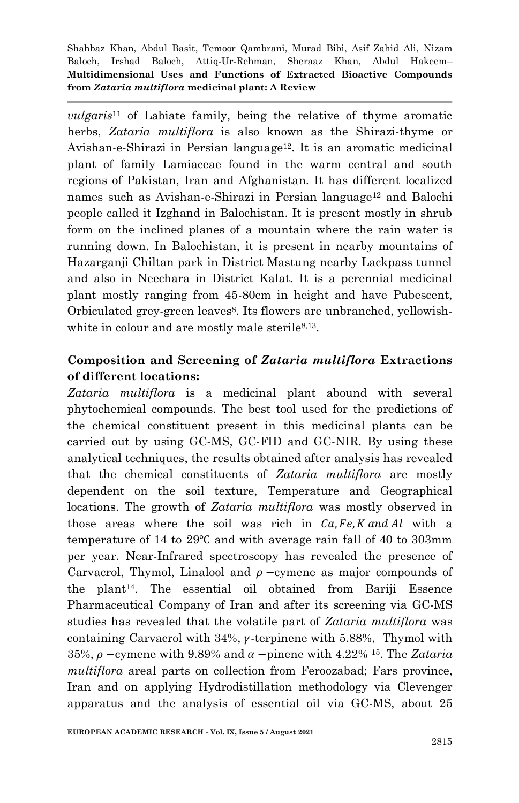*vulgaris*<sup>11</sup> of Labiate family, being the relative of thyme aromatic herbs, *Zataria multiflora* is also known as the Shirazi-thyme or Avishan-e-Shirazi in Persian language<sup>12</sup>. It is an aromatic medicinal plant of family Lamiaceae found in the warm central and south regions of Pakistan, Iran and Afghanistan. It has different localized names such as Avishan-e-Shirazi in Persian language<sup>12</sup> and Balochi people called it Izghand in Balochistan. It is present mostly in shrub form on the inclined planes of a mountain where the rain water is running down. In Balochistan, it is present in nearby mountains of Hazarganji Chiltan park in District Mastung nearby Lackpass tunnel and also in Neechara in District Kalat. It is a perennial medicinal plant mostly ranging from 45-80cm in height and have Pubescent, Orbiculated grey-green leaves8. Its flowers are unbranched, yellowishwhite in colour and are mostly male sterile<sup>8,13</sup>.

## **Composition and Screening of** *Zataria multiflora* **Extractions of different locations:**

*Zataria multiflora* is a medicinal plant abound with several phytochemical compounds. The best tool used for the predictions of the chemical constituent present in this medicinal plants can be carried out by using GC-MS, GC-FID and GC-NIR. By using these analytical techniques, the results obtained after analysis has revealed that the chemical constituents of *Zataria multiflora* are mostly dependent on the soil texture, Temperature and Geographical locations. The growth of *Zataria multiflora* was mostly observed in those areas where the soil was rich in  $Ca, Fe, K, and Al$  with a temperature of 14 to 29 $\degree$ C and with average rain fall of 40 to 303mm per year. Near-Infrared spectroscopy has revealed the presence of Carvacrol, Thymol, Linalool and  $\rho$  -cymene as major compounds of the plant14. The essential oil obtained from Bariji Essence Pharmaceutical Company of Iran and after its screening via GC-MS studies has revealed that the volatile part of *Zataria multiflora* was containing Carvacrol with  $34\%$ ,  $\gamma$ -terpinene with 5.88%, Thymol with 35%,  $\rho$  -cymene with 9.89% and  $\alpha$  -pinene with 4.22% <sup>15</sup>. The *Zataria multiflora* areal parts on collection from Feroozabad; Fars province, Iran and on applying Hydrodistillation methodology via Clevenger apparatus and the analysis of essential oil via GC-MS, about 25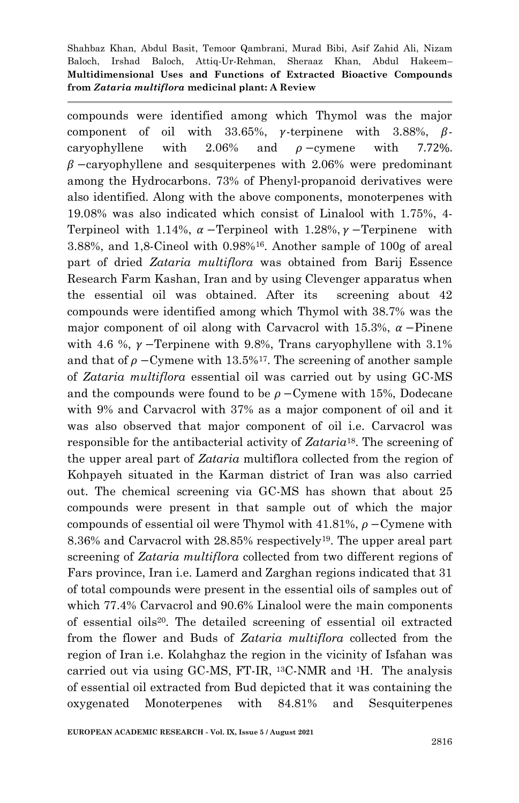compounds were identified among which Thymol was the major component of oil with  $33.65\%$ ,  $\gamma$ -terpinene with  $3.88\%$ ,  $\beta$ caryophyllene with  $2.06\%$  and  $\rho$ -cymene with 7.72%  $\beta$  -caryophyllene and sesquiterpenes with 2.06% were predominant among the Hydrocarbons. 73% of Phenyl-propanoid derivatives were also identified. Along with the above components, monoterpenes with 19.08% was also indicated which consist of Linalool with 1.75%, 4- Terpineol with 1.14%,  $\alpha$  -Terpineol with 1.28%,  $\gamma$  -Terpinene with 3.88%, and 1,8-Cineol with 0.98%16. Another sample of 100g of areal part of dried *Zataria multiflora* was obtained from Barij Essence Research Farm Kashan, Iran and by using Clevenger apparatus when the essential oil was obtained. After its screening about 42 compounds were identified among which Thymol with 38.7% was the major component of oil along with Carvacrol with 15.3%,  $\alpha$  –Pinene with 4.6 %,  $\gamma$  -Terpinene with 9.8%, Trans caryophyllene with 3.1% and that of  $\rho$  – Cymene with 13.5%<sup>17</sup>. The screening of another sample of *Zataria multiflora* essential oil was carried out by using GC-MS and the compounds were found to be  $\rho$  – Cymene with 15%, Dodecane with 9% and Carvacrol with 37% as a major component of oil and it was also observed that major component of oil i.e. Carvacrol was responsible for the antibacterial activity of *Zataria*18. The screening of the upper areal part of *Zataria* multiflora collected from the region of Kohpayeh situated in the Karman district of Iran was also carried out. The chemical screening via GC-MS has shown that about 25 compounds were present in that sample out of which the major compounds of essential oil were Thymol with 41.81%,  $\rho$  – Cymene with 8.36% and Carvacrol with 28.85% respectively<sup>19</sup>. The upper areal part screening of *Zataria multiflora* collected from two different regions of Fars province, Iran i.e. Lamerd and Zarghan regions indicated that 31 of total compounds were present in the essential oils of samples out of which 77.4% Carvacrol and 90.6% Linalool were the main components of essential oils20. The detailed screening of essential oil extracted from the flower and Buds of *Zataria multiflora* collected from the region of Iran i.e. Kolahghaz the region in the vicinity of Isfahan was carried out via using GC-MS, FT-IR,  $^{13}$ C-NMR and <sup>1</sup>H. The analysis of essential oil extracted from Bud depicted that it was containing the oxygenated Monoterpenes with 84.81% and Sesquiterpenes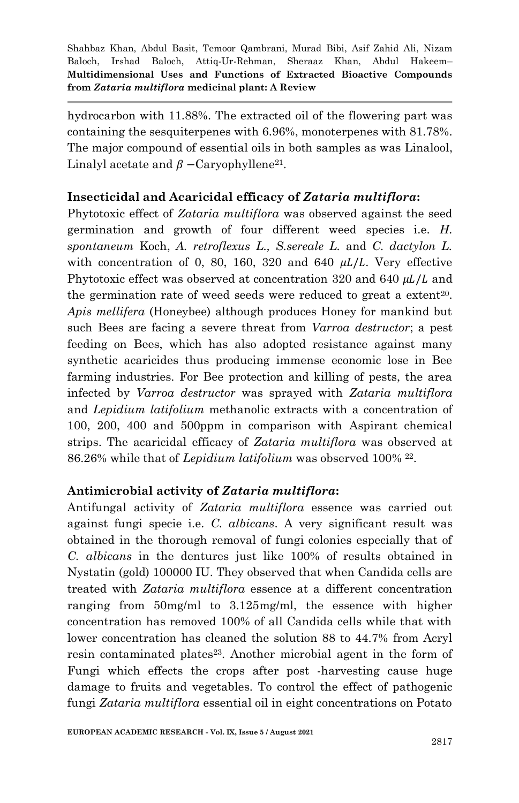hydrocarbon with 11.88%. The extracted oil of the flowering part was containing the sesquiterpenes with 6.96%, monoterpenes with 81.78%. The major compound of essential oils in both samples as was Linalool, Linalyl acetate and  $\beta$  –Caryophyllene<sup>21</sup>.

## **Insecticidal and Acaricidal efficacy of** *Zataria multiflora***:**

Phytotoxic effect of *Zataria multiflora* was observed against the seed germination and growth of four different weed species i.e. *H. spontaneum* Koch, *A. retroflexus L., S.sereale L.* and *C. dactylon L.* with concentration of 0, 80, 160, 320 and 640  $\mu L/L$ . Very effective Phytotoxic effect was observed at concentration 320 and 640  $\mu L/L$  and the germination rate of weed seeds were reduced to great a extent<sup>20</sup>. *Apis mellifera* (Honeybee) although produces Honey for mankind but such Bees are facing a severe threat from *Varroa destructor*; a pest feeding on Bees, which has also adopted resistance against many synthetic acaricides thus producing immense economic lose in Bee farming industries. For Bee protection and killing of pests, the area infected by *Varroa destructor* was sprayed with *Zataria multiflora*  and *Lepidium latifolium* methanolic extracts with a concentration of 100, 200, 400 and 500ppm in comparison with Aspirant chemical strips. The acaricidal efficacy of *Zataria multiflora* was observed at 86.26% while that of *Lepidium latifolium* was observed 100% 22.

#### **Antimicrobial activity of** *Zataria multiflora***:**

Antifungal activity of *Zataria multiflora* essence was carried out against fungi specie i.e. *C. albicans*. A very significant result was obtained in the thorough removal of fungi colonies especially that of *C. albicans* in the dentures just like 100% of results obtained in Nystatin (gold) 100000 IU. They observed that when Candida cells are treated with *Zataria multiflora* essence at a different concentration ranging from 50mg/ml to 3.125mg/ml, the essence with higher concentration has removed 100% of all Candida cells while that with lower concentration has cleaned the solution 88 to 44.7% from Acryl resin contaminated plates<sup>23</sup>. Another microbial agent in the form of Fungi which effects the crops after post -harvesting cause huge damage to fruits and vegetables. To control the effect of pathogenic fungi *Zataria multiflora* essential oil in eight concentrations on Potato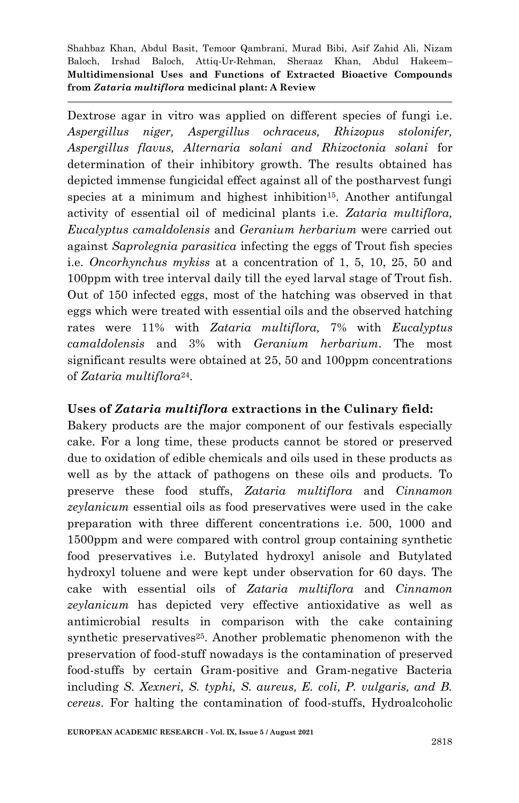Dextrose agar in vitro was applied on different species of fungi i.e*. Aspergillus niger, Aspergillus ochraceus, Rhizopus stolonifer, Aspergillus flavus, Alternaria solani and Rhizoctonia solani* for determination of their inhibitory growth. The results obtained has depicted immense fungicidal effect against all of the postharvest fungi species at a minimum and highest inhibition<sup>15</sup>. Another antifungal activity of essential oil of medicinal plants i.e. *Zataria multiflora, Eucalyptus camaldolensis* and *Geranium herbarium* were carried out against *Saprolegnia parasitica* infecting the eggs of Trout fish species i.e. *Oncorhynchus mykiss* at a concentration of 1, 5, 10, 25, 50 and 100ppm with tree interval daily till the eyed larval stage of Trout fish. Out of 150 infected eggs, most of the hatching was observed in that eggs which were treated with essential oils and the observed hatching rates were 11% with *Zataria multiflora,* 7% with *Eucalyptus camaldolensis* and 3% with *Geranium herbarium*. The most significant results were obtained at 25, 50 and 100ppm concentrations of *Zataria multiflora*24.

#### **Uses of** *Zataria multiflora* **extractions in the Culinary field:**

Bakery products are the major component of our festivals especially cake. For a long time, these products cannot be stored or preserved due to oxidation of edible chemicals and oils used in these products as well as by the attack of pathogens on these oils and products. To preserve these food stuffs, *Zataria multiflora* and *Cinnamon zeylanicum* essential oils as food preservatives were used in the cake preparation with three different concentrations i.e. 500, 1000 and 1500ppm and were compared with control group containing synthetic food preservatives i.e. Butylated hydroxyl anisole and Butylated hydroxyl toluene and were kept under observation for 60 days. The cake with essential oils of *Zataria multiflora* and *Cinnamon zeylanicum* has depicted very effective antioxidative as well as antimicrobial results in comparison with the cake containing synthetic preservatives<sup>25</sup>. Another problematic phenomenon with the preservation of food-stuff nowadays is the contamination of preserved food-stuffs by certain Gram-positive and Gram-negative Bacteria including *S. Xexneri, S. typhi, S. aureus, E. coli, P. vulgaris, and B. cereus*. For halting the contamination of food-stuffs, Hydroalcoholic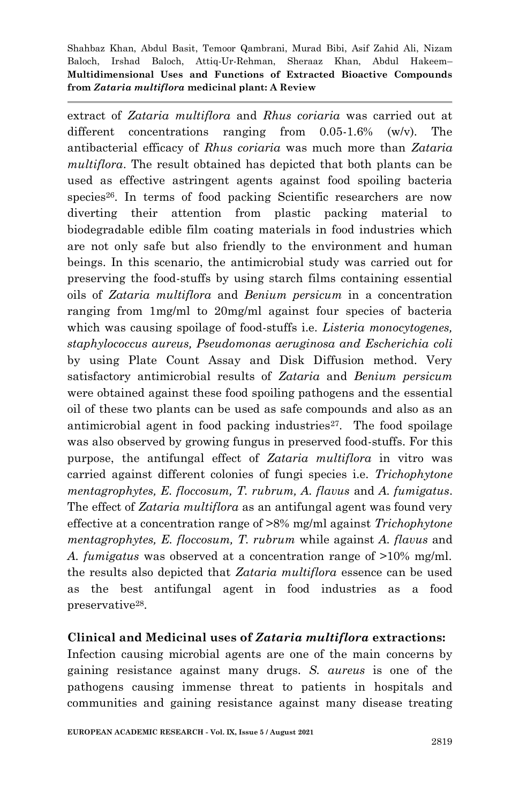extract of *Zataria multiflora* and *Rhus coriaria* was carried out at different concentrations ranging from 0.05-1.6% (w/v). The antibacterial efficacy of *Rhus coriaria* was much more than *Zataria multiflora*. The result obtained has depicted that both plants can be used as effective astringent agents against food spoiling bacteria species<sup>26</sup>. In terms of food packing Scientific researchers are now diverting their attention from plastic packing material to biodegradable edible film coating materials in food industries which are not only safe but also friendly to the environment and human beings. In this scenario, the antimicrobial study was carried out for preserving the food-stuffs by using starch films containing essential oils of *Zataria multiflora* and *Benium persicum* in a concentration ranging from 1mg/ml to 20mg/ml against four species of bacteria which was causing spoilage of food-stuffs i.e. *Listeria monocytogenes, staphylococcus aureus, Pseudomonas aeruginosa and Escherichia coli* by using Plate Count Assay and Disk Diffusion method. Very satisfactory antimicrobial results of *Zataria* and *Benium persicum* were obtained against these food spoiling pathogens and the essential oil of these two plants can be used as safe compounds and also as an antimicrobial agent in food packing industries<sup>27</sup>. The food spoilage was also observed by growing fungus in preserved food-stuffs. For this purpose, the antifungal effect of *Zataria multiflora* in vitro was carried against different colonies of fungi species i.e. *Trichophytone mentagrophytes, E. floccosum, T. rubrum, A. flavus* and *A. fumigatus*. The effect of *Zataria multiflora* as an antifungal agent was found very effective at a concentration range of >8% mg/ml against *Trichophytone mentagrophytes, E. floccosum, T. rubrum* while against *A. flavus* and *A. fumigatus* was observed at a concentration range of >10% mg/ml. the results also depicted that *Zataria multiflora* essence can be used as the best antifungal agent in food industries as a food preservative28.

#### **Clinical and Medicinal uses of** *Zataria multiflora* **extractions:**

Infection causing microbial agents are one of the main concerns by gaining resistance against many drugs. *S. aureus* is one of the pathogens causing immense threat to patients in hospitals and communities and gaining resistance against many disease treating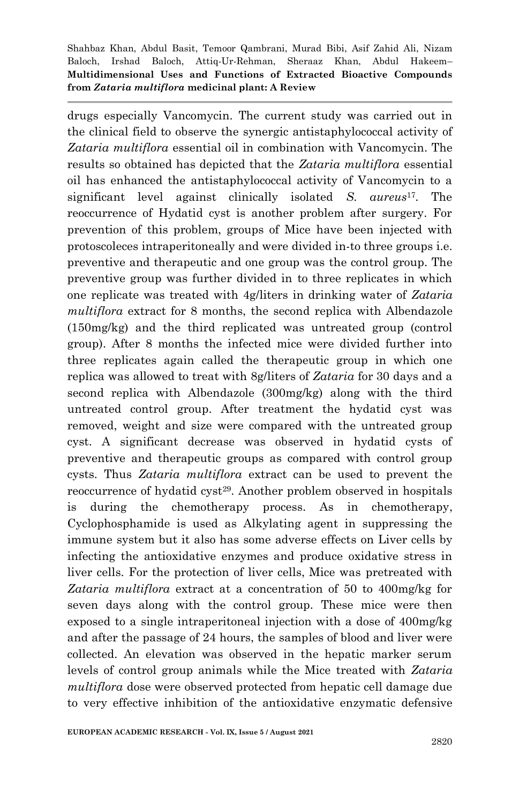drugs especially Vancomycin. The current study was carried out in the clinical field to observe the synergic antistaphylococcal activity of *Zataria multiflora* essential oil in combination with Vancomycin. The results so obtained has depicted that the *Zataria multiflora* essential oil has enhanced the antistaphylococcal activity of Vancomycin to a significant level against clinically isolated *S. aureus*17. The reoccurrence of Hydatid cyst is another problem after surgery. For prevention of this problem, groups of Mice have been injected with protoscoleces intraperitoneally and were divided in-to three groups i.e. preventive and therapeutic and one group was the control group. The preventive group was further divided in to three replicates in which one replicate was treated with 4g/liters in drinking water of *Zataria multiflora* extract for 8 months, the second replica with Albendazole (150mg/kg) and the third replicated was untreated group (control group). After 8 months the infected mice were divided further into three replicates again called the therapeutic group in which one replica was allowed to treat with 8g/liters of *Zataria* for 30 days and a second replica with Albendazole (300mg/kg) along with the third untreated control group. After treatment the hydatid cyst was removed, weight and size were compared with the untreated group cyst. A significant decrease was observed in hydatid cysts of preventive and therapeutic groups as compared with control group cysts. Thus *Zataria multiflora* extract can be used to prevent the reoccurrence of hydatid cyst<sup>29</sup>. Another problem observed in hospitals is during the chemotherapy process. As in chemotherapy, Cyclophosphamide is used as Alkylating agent in suppressing the immune system but it also has some adverse effects on Liver cells by infecting the antioxidative enzymes and produce oxidative stress in liver cells. For the protection of liver cells, Mice was pretreated with *Zataria multiflora* extract at a concentration of 50 to 400mg/kg for seven days along with the control group. These mice were then exposed to a single intraperitoneal injection with a dose of 400mg/kg and after the passage of 24 hours, the samples of blood and liver were collected. An elevation was observed in the hepatic marker serum levels of control group animals while the Mice treated with *Zataria multiflora* dose were observed protected from hepatic cell damage due to very effective inhibition of the antioxidative enzymatic defensive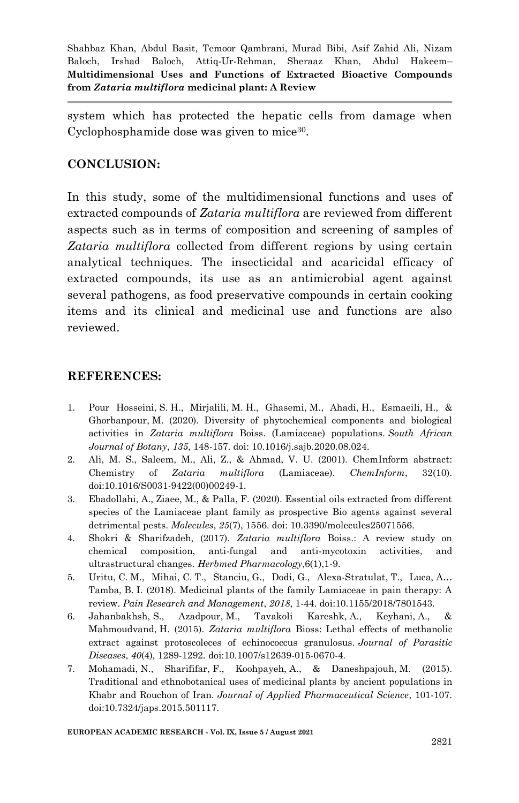system which has protected the hepatic cells from damage when Cyclophosphamide dose was given to mice<sup>30</sup>.

## **CONCLUSION:**

In this study, some of the multidimensional functions and uses of extracted compounds of *Zataria multiflora* are reviewed from different aspects such as in terms of composition and screening of samples of *Zataria multiflora* collected from different regions by using certain analytical techniques. The insecticidal and acaricidal efficacy of extracted compounds, its use as an antimicrobial agent against several pathogens, as food preservative compounds in certain cooking items and its clinical and medicinal use and functions are also reviewed.

#### **REFERENCES:**

- 1. Pour Hosseini, S. H., Mirjalili, M. H., Ghasemi, M., Ahadi, H., Esmaeili, H., & Ghorbanpour, M. (2020). Diversity of phytochemical components and biological activities in *Zataria multiflora* Boiss. (Lamiaceae) populations. *South African Journal of Botany*, *135*, 148-157. doi: 10.1016/j.sajb.2020.08.024.
- 2. Ali, M. S., Saleem, M., Ali, Z., & Ahmad, V. U. (2001). ChemInform abstract: Chemistry of *Zataria multiflora* (Lamiaceae). *ChemInform*, 32(10). doi:10.1016/S0031-9422(00)00249-1.
- 3. Ebadollahi, A., Ziaee, M., & Palla, F. (2020). Essential oils extracted from different species of the Lamiaceae plant family as prospective Bio agents against several detrimental pests. *Molecules*, *25*(7), 1556. doi: 10.3390/molecules25071556.
- 4. Shokri & Sharifzadeh, (2017). *Zataria multiflora* Boiss.: A review study on chemical composition, anti-fungal and anti-mycotoxin activities, and ultrastructural changes. *Herbmed Pharmacology*,6(1),1-9.
- 5. Uritu, C. M., Mihai, C. T., Stanciu, G., Dodi, G., Alexa-Stratulat, T., Luca, A… Tamba, B. I. (2018). Medicinal plants of the family Lamiaceae in pain therapy: A review. *Pain Research and Management*, *2018*, 1-44. doi:10.1155/2018/7801543.
- 6. Jahanbakhsh, S., Azadpour, M., Tavakoli Kareshk, A., Keyhani, A., & Mahmoudvand, H. (2015). *Zataria multiflora* Bioss: Lethal effects of methanolic extract against protoscoleces of echinococcus granulosus. *Journal of Parasitic Diseases*, *40*(4), 1289-1292. doi:10.1007/s12639-015-0670-4.
- 7. Mohamadi, N., Sharififar, F., Koohpayeh, A., & Daneshpajouh, M. (2015). Traditional and ethnobotanical uses of medicinal plants by ancient populations in Khabr and Rouchon of Iran. *Journal of Applied Pharmaceutical Science*, 101-107. doi:10.7324/japs.2015.501117.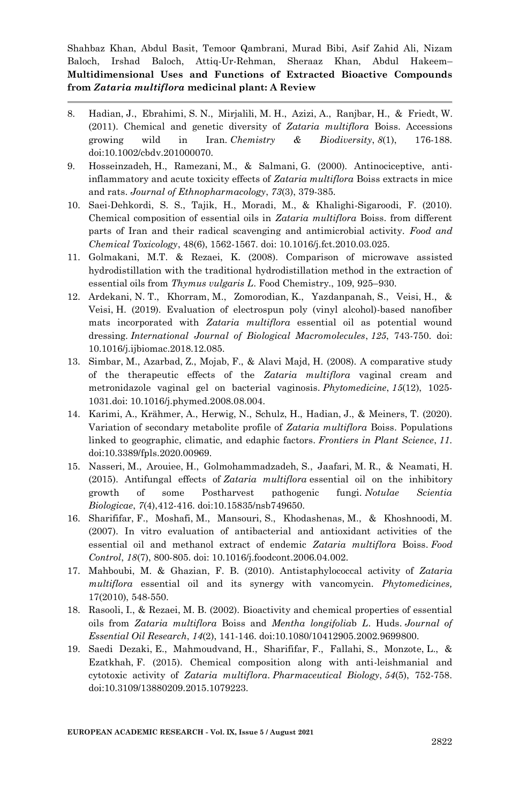- 8. Hadian, J., Ebrahimi, S. N., Mirjalili, M. H., Azizi, A., Ranjbar, H., & Friedt, W. (2011). Chemical and genetic diversity of *Zataria multiflora* Boiss. Accessions growing wild in Iran. *Chemistry & Biodiversity*, *8*(1), 176-188. doi:10.1002/cbdv.201000070.
- 9. Hosseinzadeh, H., Ramezani, M., & Salmani, G. (2000). Antinociceptive, antiinflammatory and acute toxicity effects of *Zataria multiflora* Boiss extracts in mice and rats. *Journal of Ethnopharmacology*, *73*(3), 379-385.
- 10. Saei-Dehkordi, S. S., Tajik, H., Moradi, M., & Khalighi-Sigaroodi, F. (2010). Chemical composition of essential oils in *Zataria multiflora* Boiss. from different parts of Iran and their radical scavenging and antimicrobial activity. *Food and Chemical Toxicology*, 48(6), 1562-1567. doi: 10.1016/j.fct.2010.03.025.
- 11. Golmakani, M.T. & Rezaei, K. (2008). Comparison of microwave assisted hydrodistillation with the traditional hydrodistillation method in the extraction of essential oils from *Thymus vulgaris L*. Food Chemistry., 109, 925–930.
- 12. Ardekani, N. T., Khorram, M., Zomorodian, K., Yazdanpanah, S., Veisi, H., & Veisi, H. (2019). Evaluation of electrospun poly (vinyl alcohol)-based nanofiber mats incorporated with *Zataria multiflora* essential oil as potential wound dressing. *International Journal of Biological Macromolecules*, *125*, 743-750. doi: 10.1016/j.ijbiomac.2018.12.085.
- 13. Simbar, M., Azarbad, Z., Mojab, F., & Alavi Majd, H. (2008). A comparative study of the therapeutic effects of the *Zataria multiflora* vaginal cream and metronidazole vaginal gel on bacterial vaginosis. *Phytomedicine*, *15*(12), 1025- 1031.doi: 10.1016/j.phymed.2008.08.004.
- 14. Karimi, A., Krähmer, A., Herwig, N., Schulz, H., Hadian, J., & Meiners, T. (2020). Variation of secondary metabolite profile of *Zataria multiflora* Boiss. Populations linked to geographic, climatic, and edaphic factors. *Frontiers in Plant Science*, *11*. doi:10.3389/fpls.2020.00969.
- 15. Nasseri, M., Arouiee, H., Golmohammadzadeh, S., Jaafari, M. R., & Neamati, H. (2015). Antifungal effects of *Zataria multiflora* essential oil on the inhibitory growth of some Postharvest pathogenic fungi. *Notulae Scientia Biologicae*, *7*(4),412-416. doi:10.15835/nsb749650.
- 16. Sharififar, F., Moshafi, M., Mansouri, S., Khodashenas, M., & Khoshnoodi, M. (2007). In vitro evaluation of antibacterial and antioxidant activities of the essential oil and methanol extract of endemic *Zataria multiflora* Boiss. *Food Control*, *18*(7), 800-805. doi: 10.1016/j.foodcont.2006.04.002.
- 17. Mahboubi, M. & Ghazian, F. B. (2010). Antistaphylococcal activity of *Zataria multiflora* essential oil and its synergy with vancomycin*. Phytomedicines,*  17(2010), 548-550.
- 18. Rasooli, I., & Rezaei, M. B. (2002). Bioactivity and chemical properties of essential oils from *Zataria multiflora* Boiss and *Mentha longifolia*b *L*. Huds. *Journal of Essential Oil Research*, *14*(2), 141-146. doi:10.1080/10412905.2002.9699800.
- 19. Saedi Dezaki, E., Mahmoudvand, H., Sharififar, F., Fallahi, S., Monzote, L., & Ezatkhah, F. (2015). Chemical composition along with anti-leishmanial and cytotoxic activity of *Zataria multiflora*. *Pharmaceutical Biology*, *54*(5), 752-758. doi:10.3109/13880209.2015.1079223.